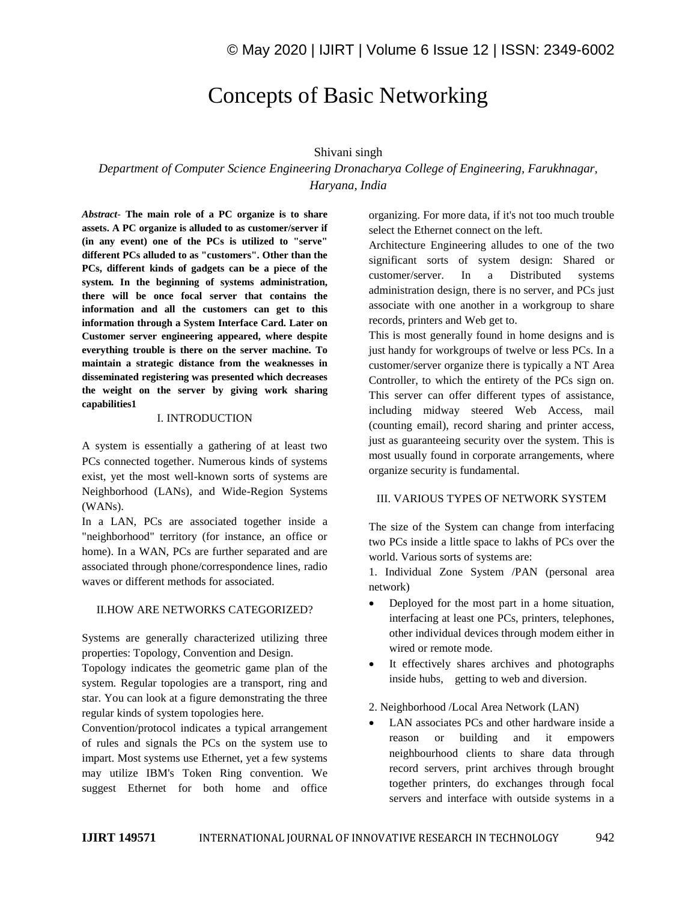# Concepts of Basic Networking

#### Shivani singh

*Department of Computer Science Engineering Dronacharya College of Engineering, Farukhnagar, Haryana, India*

*Abstract*- **The main role of a PC organize is to share assets. A PC organize is alluded to as customer/server if (in any event) one of the PCs is utilized to "serve" different PCs alluded to as "customers". Other than the PCs, different kinds of gadgets can be a piece of the system. In the beginning of systems administration, there will be once focal server that contains the information and all the customers can get to this information through a System Interface Card. Later on Customer server engineering appeared, where despite everything trouble is there on the server machine. To maintain a strategic distance from the weaknesses in disseminated registering was presented which decreases the weight on the server by giving work sharing capabilities1**

#### I. INTRODUCTION

A system is essentially a gathering of at least two PCs connected together. Numerous kinds of systems exist, yet the most well-known sorts of systems are Neighborhood (LANs), and Wide-Region Systems (WANs).

In a LAN, PCs are associated together inside a "neighborhood" territory (for instance, an office or home). In a WAN, PCs are further separated and are associated through phone/correspondence lines, radio waves or different methods for associated.

#### II.HOW ARE NETWORKS CATEGORIZED?

Systems are generally characterized utilizing three properties: Topology, Convention and Design.

Topology indicates the geometric game plan of the system. Regular topologies are a transport, ring and star. You can look at a figure demonstrating the three regular kinds of system topologies here.

Convention/protocol indicates a typical arrangement of rules and signals the PCs on the system use to impart. Most systems use Ethernet, yet a few systems may utilize IBM's Token Ring convention. We suggest Ethernet for both home and office

organizing. For more data, if it's not too much trouble select the Ethernet connect on the left.

Architecture Engineering alludes to one of the two significant sorts of system design: Shared or customer/server. In a Distributed systems administration design, there is no server, and PCs just associate with one another in a workgroup to share records, printers and Web get to.

This is most generally found in home designs and is just handy for workgroups of twelve or less PCs. In a customer/server organize there is typically a NT Area Controller, to which the entirety of the PCs sign on. This server can offer different types of assistance, including midway steered Web Access, mail (counting email), record sharing and printer access, just as guaranteeing security over the system. This is most usually found in corporate arrangements, where organize security is fundamental.

#### III. VARIOUS TYPES OF NETWORK SYSTEM

The size of the System can change from interfacing two PCs inside a little space to lakhs of PCs over the world. Various sorts of systems are:

1. Individual Zone System /PAN (personal area network)

- Deployed for the most part in a home situation, interfacing at least one PCs, printers, telephones, other individual devices through modem either in wired or remote mode.
- It effectively shares archives and photographs inside hubs, getting to web and diversion.

#### 2. Neighborhood /Local Area Network (LAN)

• LAN associates PCs and other hardware inside a reason or building and it empowers neighbourhood clients to share data through record servers, print archives through brought together printers, do exchanges through focal servers and interface with outside systems in a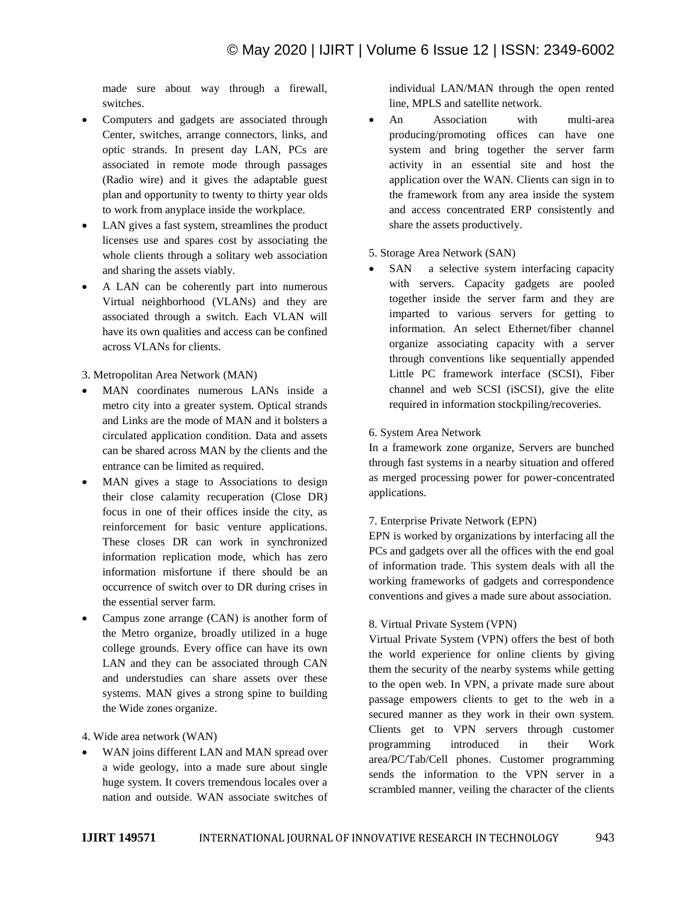made sure about way through a firewall, switches.

- Computers and gadgets are associated through Center, switches, arrange connectors, links, and optic strands. In present day LAN, PCs are associated in remote mode through passages (Radio wire) and it gives the adaptable guest plan and opportunity to twenty to thirty year olds to work from anyplace inside the workplace.
- LAN gives a fast system, streamlines the product licenses use and spares cost by associating the whole clients through a solitary web association and sharing the assets viably.
- A LAN can be coherently part into numerous Virtual neighborhood (VLANs) and they are associated through a switch. Each VLAN will have its own qualities and access can be confined across VLANs for clients.

3. Metropolitan Area Network (MAN)

- MAN coordinates numerous LANs inside a metro city into a greater system. Optical strands and Links are the mode of MAN and it bolsters a circulated application condition. Data and assets can be shared across MAN by the clients and the entrance can be limited as required.
- MAN gives a stage to Associations to design their close calamity recuperation (Close DR) focus in one of their offices inside the city, as reinforcement for basic venture applications. These closes DR can work in synchronized information replication mode, which has zero information misfortune if there should be an occurrence of switch over to DR during crises in the essential server farm.
- Campus zone arrange (CAN) is another form of the Metro organize, broadly utilized in a huge college grounds. Every office can have its own LAN and they can be associated through CAN and understudies can share assets over these systems. MAN gives a strong spine to building the Wide zones organize.

4. Wide area network (WAN)

WAN joins different LAN and MAN spread over a wide geology, into a made sure about single huge system. It covers tremendous locales over a nation and outside. WAN associate switches of individual LAN/MAN through the open rented line, MPLS and satellite network.

• An Association with multi-area producing/promoting offices can have one system and bring together the server farm activity in an essential site and host the application over the WAN. Clients can sign in to the framework from any area inside the system and access concentrated ERP consistently and share the assets productively.

#### 5. Storage Area Network (SAN)

• SAN a selective system interfacing capacity with servers. Capacity gadgets are pooled together inside the server farm and they are imparted to various servers for getting to information. An select Ethernet/fiber channel organize associating capacity with a server through conventions like sequentially appended Little PC framework interface (SCSI), Fiber channel and web SCSI (iSCSI), give the elite required in information stockpiling/recoveries.

#### 6. System Area Network

In a framework zone organize, Servers are bunched through fast systems in a nearby situation and offered as merged processing power for power-concentrated applications.

# 7. Enterprise Private Network (EPN)

EPN is worked by organizations by interfacing all the PCs and gadgets over all the offices with the end goal of information trade. This system deals with all the working frameworks of gadgets and correspondence conventions and gives a made sure about association.

#### 8. Virtual Private System (VPN)

Virtual Private System (VPN) offers the best of both the world experience for online clients by giving them the security of the nearby systems while getting to the open web. In VPN, a private made sure about passage empowers clients to get to the web in a secured manner as they work in their own system. Clients get to VPN servers through customer programming introduced in their Work area/PC/Tab/Cell phones. Customer programming sends the information to the VPN server in a scrambled manner, veiling the character of the clients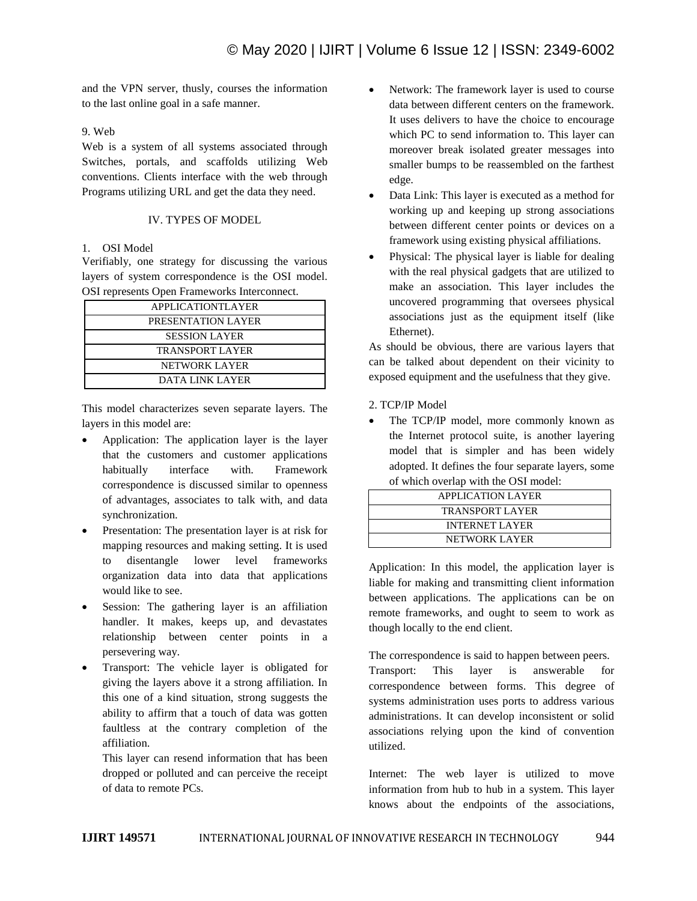and the VPN server, thusly, courses the information to the last online goal in a safe manner.

# 9. Web

Web is a system of all systems associated through Switches, portals, and scaffolds utilizing Web conventions. Clients interface with the web through Programs utilizing URL and get the data they need.

## IV. TYPES OF MODEL

# 1. OSI Model

Verifiably, one strategy for discussing the various layers of system correspondence is the OSI model. OSI represents Open Frameworks Interconnect.

| <b>APPLICATIONTLAYER</b> |  |
|--------------------------|--|
| PRESENTATION LAYER       |  |
| <b>SESSION LAYER</b>     |  |
| <b>TRANSPORT LAYER</b>   |  |
| NETWORK LAYER            |  |
| DATA LINK LAYER          |  |

This model characterizes seven separate layers. The layers in this model are:

- Application: The application layer is the layer that the customers and customer applications habitually interface with. Framework correspondence is discussed similar to openness of advantages, associates to talk with, and data synchronization.
- Presentation: The presentation layer is at risk for mapping resources and making setting. It is used to disentangle lower level frameworks organization data into data that applications would like to see.
- Session: The gathering layer is an affiliation handler. It makes, keeps up, and devastates relationship between center points in a persevering way.
- Transport: The vehicle layer is obligated for giving the layers above it a strong affiliation. In this one of a kind situation, strong suggests the ability to affirm that a touch of data was gotten faultless at the contrary completion of the affiliation.

This layer can resend information that has been dropped or polluted and can perceive the receipt of data to remote PCs.

- Network: The framework layer is used to course data between different centers on the framework. It uses delivers to have the choice to encourage which PC to send information to. This layer can moreover break isolated greater messages into smaller bumps to be reassembled on the farthest edge.
- Data Link: This layer is executed as a method for working up and keeping up strong associations between different center points or devices on a framework using existing physical affiliations.
- Physical: The physical layer is liable for dealing with the real physical gadgets that are utilized to make an association. This layer includes the uncovered programming that oversees physical associations just as the equipment itself (like Ethernet).

As should be obvious, there are various layers that can be talked about dependent on their vicinity to exposed equipment and the usefulness that they give.

2. TCP/IP Model

 The TCP/IP model, more commonly known as the Internet protocol suite, is another layering model that is simpler and has been widely adopted. It defines the four separate layers, some of which overlap with the OSI model:

| <b>APPLICATION LAYER</b> |  |
|--------------------------|--|
| <b>TRANSPORT LAYER</b>   |  |
| <b>INTERNET LAYER</b>    |  |
| NETWORK LAYER            |  |

Application: In this model, the application layer is liable for making and transmitting client information between applications. The applications can be on remote frameworks, and ought to seem to work as though locally to the end client.

The correspondence is said to happen between peers. Transport: This layer is answerable for correspondence between forms. This degree of systems administration uses ports to address various administrations. It can develop inconsistent or solid associations relying upon the kind of convention utilized.

Internet: The web layer is utilized to move information from hub to hub in a system. This layer knows about the endpoints of the associations,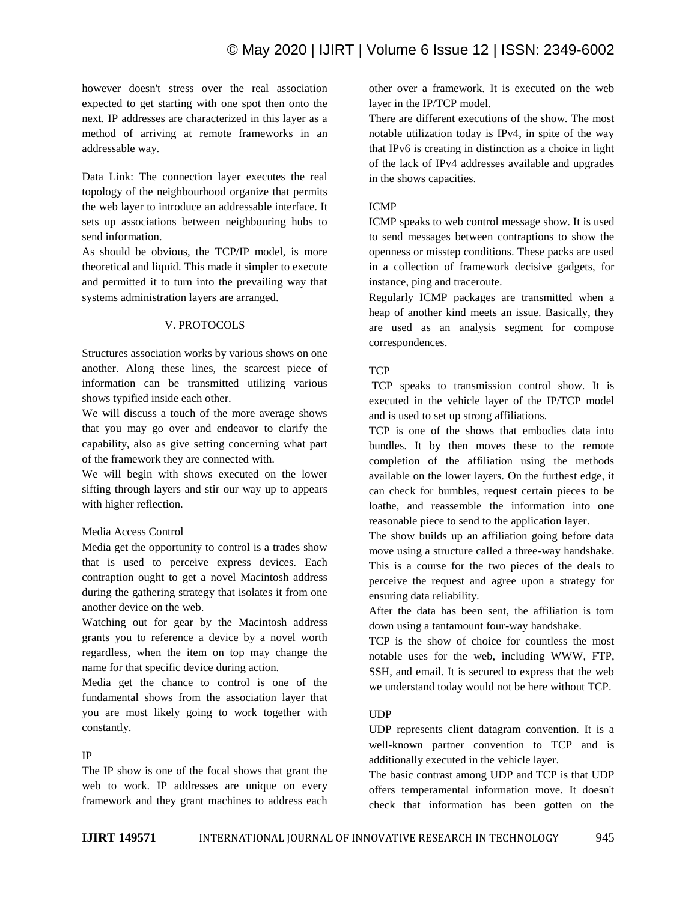however doesn't stress over the real association expected to get starting with one spot then onto the next. IP addresses are characterized in this layer as a method of arriving at remote frameworks in an addressable way.

Data Link: The connection layer executes the real topology of the neighbourhood organize that permits the web layer to introduce an addressable interface. It sets up associations between neighbouring hubs to send information.

As should be obvious, the TCP/IP model, is more theoretical and liquid. This made it simpler to execute and permitted it to turn into the prevailing way that systems administration layers are arranged.

# V. PROTOCOLS

Structures association works by various shows on one another. Along these lines, the scarcest piece of information can be transmitted utilizing various shows typified inside each other.

We will discuss a touch of the more average shows that you may go over and endeavor to clarify the capability, also as give setting concerning what part of the framework they are connected with.

We will begin with shows executed on the lower sifting through layers and stir our way up to appears with higher reflection.

#### Media Access Control

Media get the opportunity to control is a trades show that is used to perceive express devices. Each contraption ought to get a novel Macintosh address during the gathering strategy that isolates it from one another device on the web.

Watching out for gear by the Macintosh address grants you to reference a device by a novel worth regardless, when the item on top may change the name for that specific device during action.

Media get the chance to control is one of the fundamental shows from the association layer that you are most likely going to work together with constantly.

# IP

The IP show is one of the focal shows that grant the web to work. IP addresses are unique on every framework and they grant machines to address each other over a framework. It is executed on the web layer in the IP/TCP model.

There are different executions of the show. The most notable utilization today is IPv4, in spite of the way that IPv6 is creating in distinction as a choice in light of the lack of IPv4 addresses available and upgrades in the shows capacities.

# ICMP

ICMP speaks to web control message show. It is used to send messages between contraptions to show the openness or misstep conditions. These packs are used in a collection of framework decisive gadgets, for instance, ping and traceroute.

Regularly ICMP packages are transmitted when a heap of another kind meets an issue. Basically, they are used as an analysis segment for compose correspondences.

# **TCP**

TCP speaks to transmission control show. It is executed in the vehicle layer of the IP/TCP model and is used to set up strong affiliations.

TCP is one of the shows that embodies data into bundles. It by then moves these to the remote completion of the affiliation using the methods available on the lower layers. On the furthest edge, it can check for bumbles, request certain pieces to be loathe, and reassemble the information into one reasonable piece to send to the application layer.

The show builds up an affiliation going before data move using a structure called a three-way handshake. This is a course for the two pieces of the deals to perceive the request and agree upon a strategy for ensuring data reliability.

After the data has been sent, the affiliation is torn down using a tantamount four-way handshake.

TCP is the show of choice for countless the most notable uses for the web, including WWW, FTP, SSH, and email. It is secured to express that the web we understand today would not be here without TCP.

# UDP

UDP represents client datagram convention. It is a well-known partner convention to TCP and is additionally executed in the vehicle layer.

The basic contrast among UDP and TCP is that UDP offers temperamental information move. It doesn't check that information has been gotten on the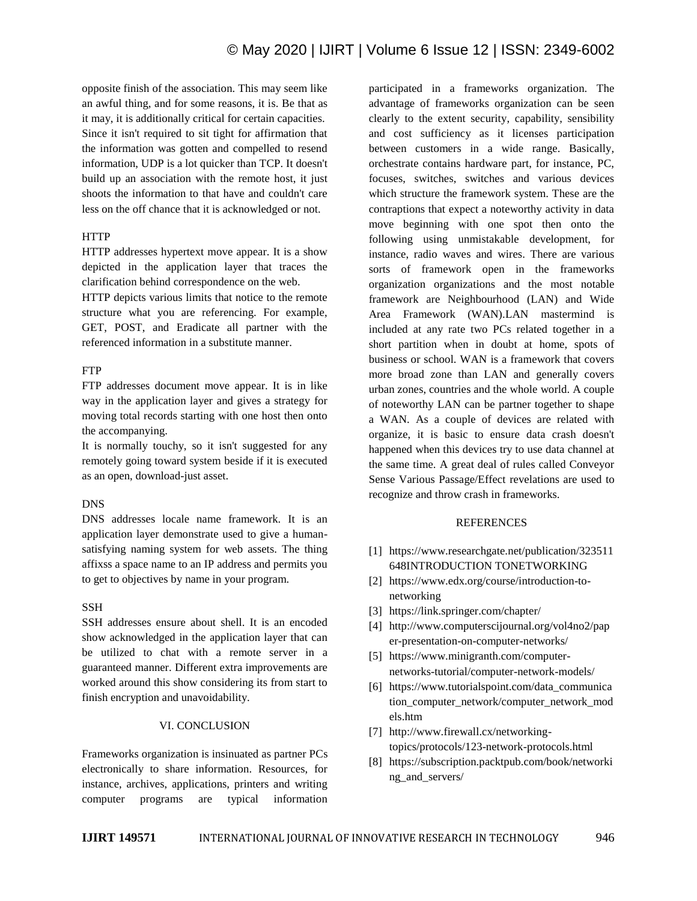opposite finish of the association. This may seem like an awful thing, and for some reasons, it is. Be that as it may, it is additionally critical for certain capacities. Since it isn't required to sit tight for affirmation that the information was gotten and compelled to resend information, UDP is a lot quicker than TCP. It doesn't build up an association with the remote host, it just shoots the information to that have and couldn't care less on the off chance that it is acknowledged or not.

# **HTTP**

HTTP addresses hypertext move appear. It is a show depicted in the application layer that traces the clarification behind correspondence on the web.

HTTP depicts various limits that notice to the remote structure what you are referencing. For example, GET, POST, and Eradicate all partner with the referenced information in a substitute manner.

## FTP

FTP addresses document move appear. It is in like way in the application layer and gives a strategy for moving total records starting with one host then onto the accompanying.

It is normally touchy, so it isn't suggested for any remotely going toward system beside if it is executed as an open, download-just asset.

# DNS

DNS addresses locale name framework. It is an application layer demonstrate used to give a humansatisfying naming system for web assets. The thing affixss a space name to an IP address and permits you to get to objectives by name in your program.

## SSH

SSH addresses ensure about shell. It is an encoded show acknowledged in the application layer that can be utilized to chat with a remote server in a guaranteed manner. Different extra improvements are worked around this show considering its from start to finish encryption and unavoidability.

# VI. CONCLUSION

Frameworks organization is insinuated as partner PCs electronically to share information. Resources, for instance, archives, applications, printers and writing computer programs are typical information participated in a frameworks organization. The advantage of frameworks organization can be seen clearly to the extent security, capability, sensibility and cost sufficiency as it licenses participation between customers in a wide range. Basically, orchestrate contains hardware part, for instance, PC, focuses, switches, switches and various devices which structure the framework system. These are the contraptions that expect a noteworthy activity in data move beginning with one spot then onto the following using unmistakable development, for instance, radio waves and wires. There are various sorts of framework open in the frameworks organization organizations and the most notable framework are Neighbourhood (LAN) and Wide Area Framework (WAN).LAN mastermind is included at any rate two PCs related together in a short partition when in doubt at home, spots of business or school. WAN is a framework that covers more broad zone than LAN and generally covers urban zones, countries and the whole world. A couple of noteworthy LAN can be partner together to shape a WAN. As a couple of devices are related with organize, it is basic to ensure data crash doesn't happened when this devices try to use data channel at the same time. A great deal of rules called Conveyor Sense Various Passage/Effect revelations are used to recognize and throw crash in frameworks.

#### REFERENCES

- [1] https://www.researchgate.net/publication/323511 648INTRODUCTION TONETWORKING
- [2] https://www.edx.org/course/introduction-tonetworking
- [3] https://link.springer.com/chapter/
- [4] http://www.computerscijournal.org/vol4no2/pap er-presentation-on-computer-networks/
- [5] https://www.minigranth.com/computernetworks-tutorial/computer-network-models/
- [6] https://www.tutorialspoint.com/data\_communica tion\_computer\_network/computer\_network\_mod els.htm
- [7] http://www.firewall.cx/networkingtopics/protocols/123-network-protocols.html
- [8] https://subscription.packtpub.com/book/networki ng\_and\_servers/